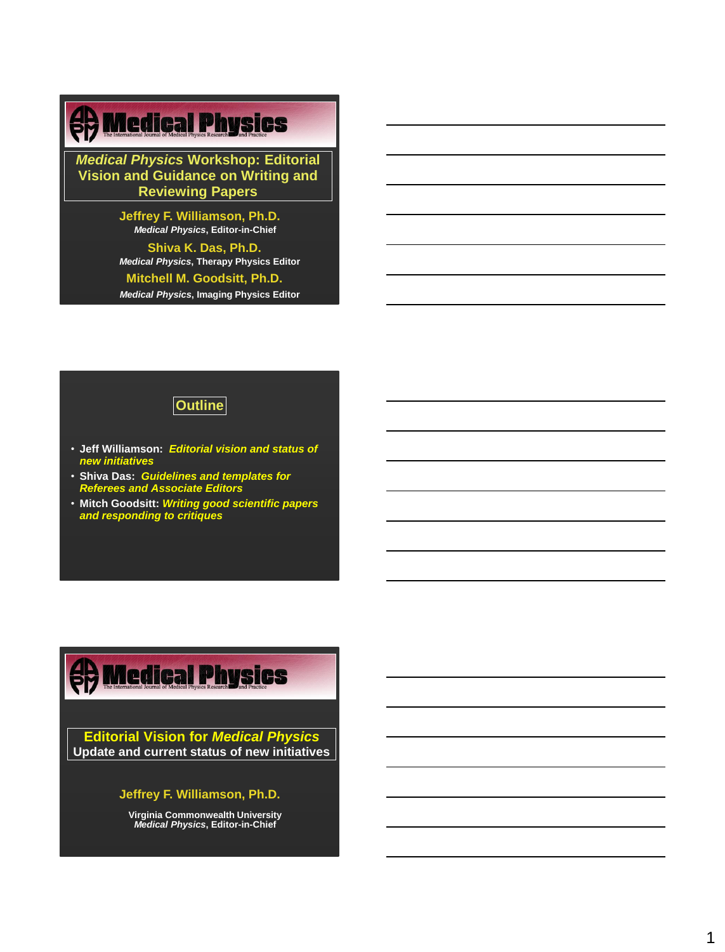## *The Department of Radiation Oncology*

*Medical Physics* **Workshop: Editorial Vision and Guidance on Writing and Reviewing Papers**

> **Jeffrey F. Williamson, Ph.D.** *Medical Physics***, Editor-in-Chief**

**Shiva K. Das, Ph.D.** *Medical Physics***, Therapy Physics Editor**

**Mitchell M. Goodsitt, Ph.D.**

*Medical Physics***, Imaging Physics Editor**

## **Outline**

- **Jeff Williamson:** *Editorial vision and status of new initiatives*
- **Shiva Das:** *Guidelines and templates for Referees and Associate Editors*
- **Mitch Goodsitt:** *Writing good scientific papers and responding to critiques*

## *The Department of Radiation Oncology*

**Editorial Vision for** *Medical Physics* **Update and current status of new initiatives**

### **Jeffrey F. Williamson, Ph.D.**

**Virginia Commonwealth University** *Medical Physics***, Editor-in-Chief**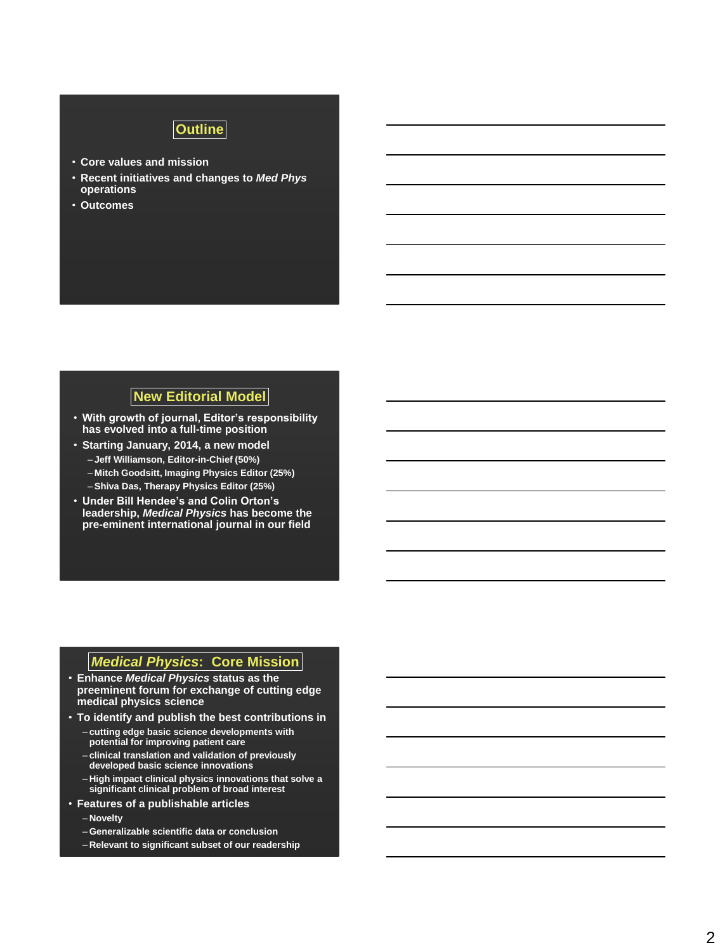# **Outline**

- **Core values and mission**
- **Recent initiatives and changes to** *Med Phys*  **operations**
- **Outcomes**

## **New Editorial Model**

- **With growth of journal, Editor's responsibility has evolved into a full-time position**
- **Starting January, 2014, a new model** – **Jeff Williamson, Editor-in-Chief (50%)** – **Mitch Goodsitt, Imaging Physics Editor (25%)**
	- **Shiva Das, Therapy Physics Editor (25%)**
- **Under Bill Hendee's and Colin Orton's leadership,** *Medical Physics* **has become the pre-eminent international journal in our field**

## *Medical Physics***: Core Mission**

- **Enhance** *Medical Physics* **status as the preeminent forum for exchange of cutting edge medical physics science**
- **To identify and publish the best contributions in**
	- **cutting edge basic science developments with potential for improving patient care**
	- **clinical translation and validation of previously developed basic science innovations**
	- **High impact clinical physics innovations that solve a significant clinical problem of broad interest**
- **Features of a publishable articles**
	- **Novelty**
	- **Generalizable scientific data or conclusion**
	- **Relevant to significant subset of our readership**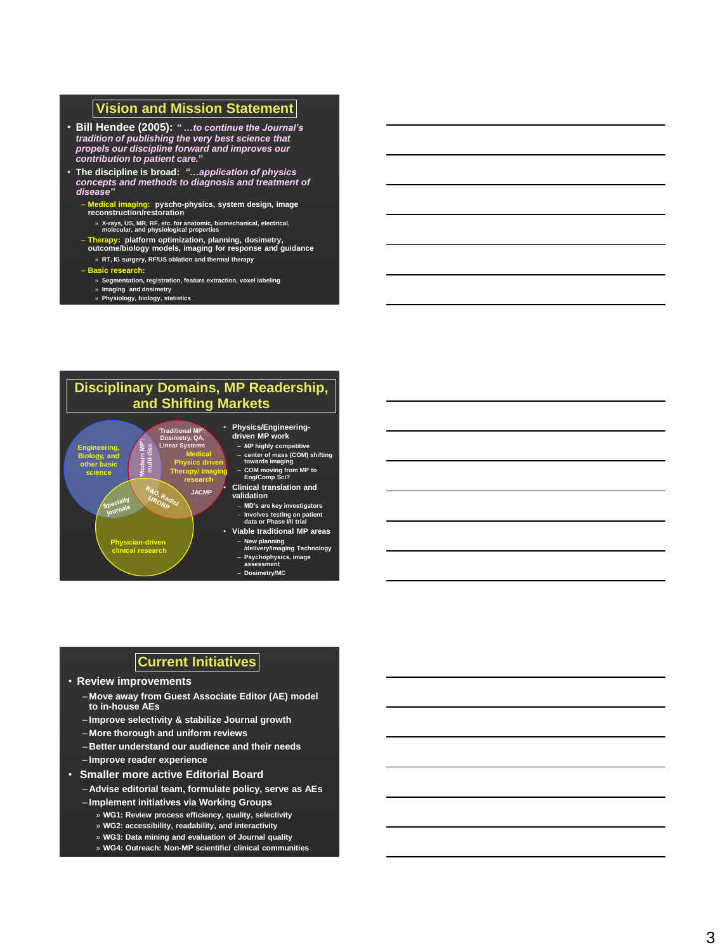### **Vision and Mission Statement**

- **Bill Hendee (2005):** *" …to continue the Journal's tradition of publishing the very best science that propels our discipline forward and improves our contribution to patient care.* **"**
- **The discipline is broad:** *"…application of physics concepts and methods to diagnosis and treatment of disease"*
	- **Medical imaging: pyscho -physics, system design, image reconstruction/restoration** 
		- » **X-rays, US, MR, RF, etc. for anatomic, biomechanical, electrical, molecular, and physiological properties**
	- **Therapy: platform optimization, planning, dosimetry, outcome/biology models, imaging for response and guidance** » **RT, IG surgery, RF/US oblation and thermal therapy**
	- **Basic research:** 
		- » **Segmentation, registration, feature extraction, voxel labeling**
		- » **Imaging and dosimetry** » **Physiology, biology, statistics**



- **New planning /delivery/imaging Technology**
	- **Psychophysics, image assessment** – **Dosimetry/MC**

## **Current Initiatives**

• **Review improvements**

**Physician -driven clinical research**

- **Move away from Guest Associate Editor (AE) model to in -house AEs**
- **Improve selectivity & stabilize Journal growth**
- **More thorough and uniform reviews**
- **Better understand our audience and their needs**
- **Improve reader experience**
- **Smaller more active Editorial Board**
	- **Advise editorial team, formulate policy, serve as AEs**
	- **Implement initiatives via Working Groups**
		- » **WG1: Review process efficiency, quality, selectivity** » **WG2: accessibility, readability, and interactivity**
		-
		- » **WG3: Data mining and evaluation of Journal quality** » **WG4: Outreach: Non-MP scientific/ clinical communities**
			-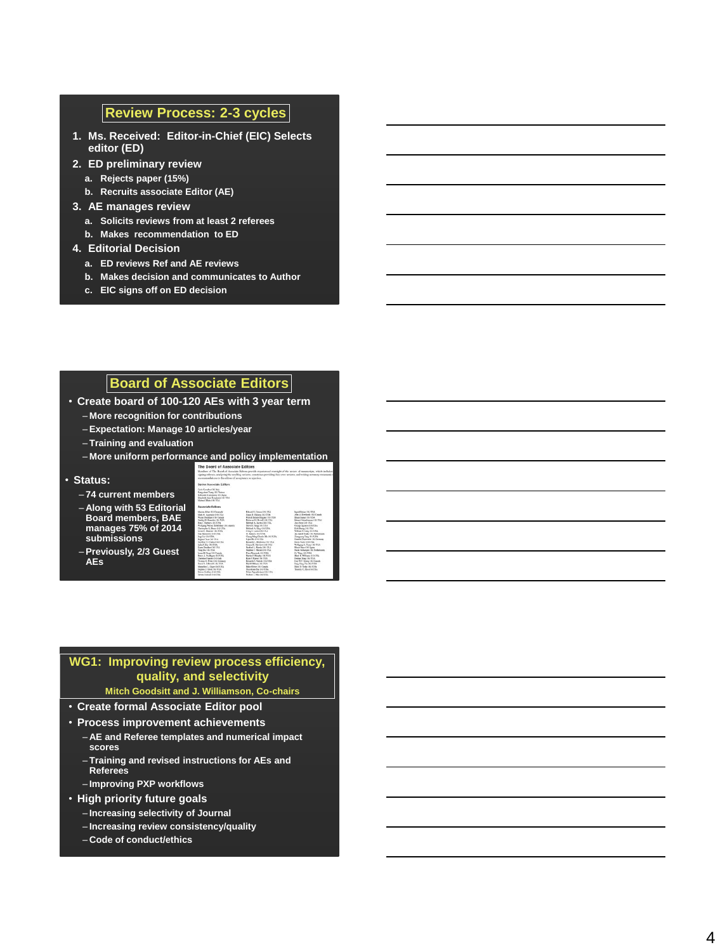### **Review Process: 2 -3 cycles**

- **1. Ms. Received: Editor -in -Chief (EIC) Selects editor (ED)**
- **2. ED preliminary review**
	- **a. Rejects paper (15%)**
	- **b. Recruits associate Editor (AE)**
- **3. AE manages review** 
	- **a. Solicits reviews from at least 2 referees**
	- **b. Makes recommendation to ED**
- **4. Editorial Decision**
	- **a. ED reviews Ref and AE reviews**
	- **b. Makes decision and communicates to Author**
	- **c. EIC signs off on ED decision**

### **Board of Associate Editors**

- **Create board of 100 -120 AEs with 3 year term**
	- **More recognition for contributions**
	- **Expectation: Manage 10 articles/year**
	- **Training and evaluation**

– **More uniform performance and policy implementation**

#### • **Status:**

**AEs**

- **74 current members**
- **Along with 53 Editorial Board members, BAE manages 75% of 2014 submissions**

– **Previously, 2/3 Guest** 



## **WG1: Improving review process efficiency, quality, and selectivity**

#### **Mitch Goodsitt and J. Williamson, Co -chairs**

- **Create formal Associate Editor pool**
- **Process improvement achievements**
	- **AE and Referee templates and numerical impact scores**
	- **Training and revised instructions for AEs and Referees**
	- **Improving PXP workflows**
- **High priority future goals**
	- **Increasing selectivity of Journal**
	- **Increasing review consistency/quality**
	- **Code of conduct/ethics**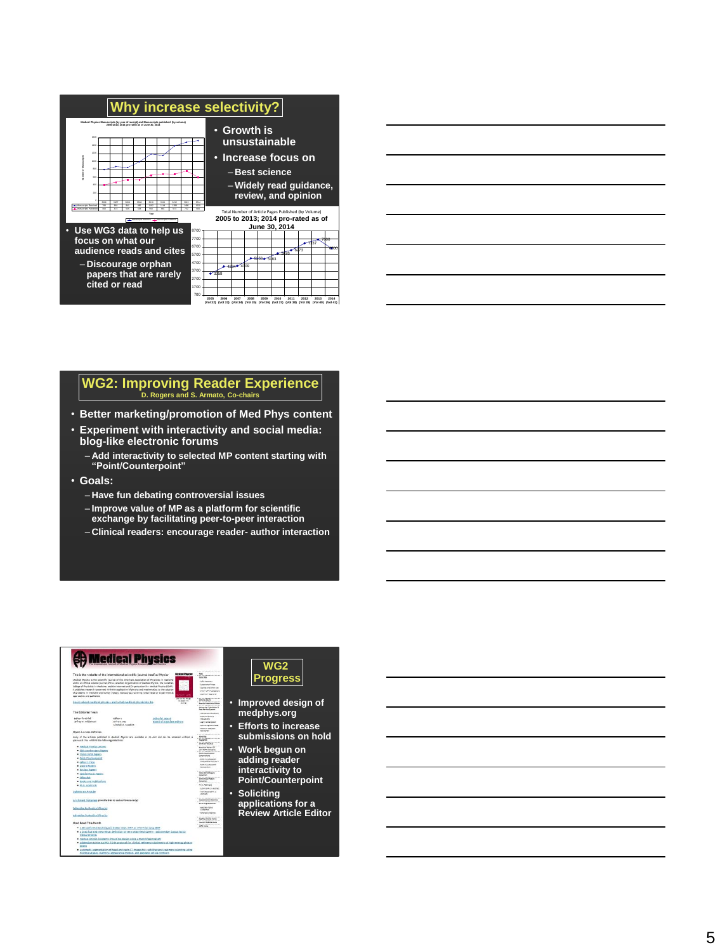

#### **WG2: Improving Reader Experience D. Rogers and S. Armato, Co -chairs**

- **Better marketing/promotion of Med Phys content**
- **Experiment with interactivity and social media: blog -like electronic forums**

– **Add interactivity to selected MP content starting with "Point/Counterpoint"**

- **Goals:**
	- **Have fun debating controversial issues**
	- **Improve value of MP as a platform for scientific**
	- **exchange by facilitating peer -to -peer interaction**
	- **Clinical readers: encourage reader - author interaction**

### **en Medical Physics**

| <b>Wednesd Physics</b><br>This is the website of the international scientific Journal Medical Physics                                                                                                                                                                                                                                                                                                                                                                                                                                             |                                                                                                                                                                                 |                                   |                                                             | <b>Bally</b><br>*************<br><b>Subscribe</b>                                                                                                                                                                        |
|---------------------------------------------------------------------------------------------------------------------------------------------------------------------------------------------------------------------------------------------------------------------------------------------------------------------------------------------------------------------------------------------------------------------------------------------------------------------------------------------------------------------------------------------------|---------------------------------------------------------------------------------------------------------------------------------------------------------------------------------|-----------------------------------|-------------------------------------------------------------|--------------------------------------------------------------------------------------------------------------------------------------------------------------------------------------------------------------------------|
| Medical Physics is the scientific located of the american Association of Physicists in Medicine<br>and is an official science tournal of the Canadian Organization of Hedical Physics, the Canadian<br>$-100$<br>College of Physicists in Medicine, and the International Organization for Medical Physics 80401.<br>It publishes research concerned with the application of physics and mathematics to the adultion<br>of problems in medicine and human biology, nanuscripts covering theoretical or experimental.<br>approaches are published. |                                                                                                                                                                                 |                                   |                                                             | Aftermenters<br><b>Lourisius Annu</b><br>Environ and Other Uni-<br><b>DENY ANTH PLAYSOFIERS</b><br>Los Your Page-one:                                                                                                    |
|                                                                                                                                                                                                                                                                                                                                                                                                                                                                                                                                                   | Learn about medical physics and what medical physicists do.                                                                                                                     |                                   | <b>POS AT THE TRAIN</b><br>to announce the<br><b>Jornal</b> | <b>Editorial Board</b><br><b>Brund of Associate Editors</b><br><br><b>National Reportation &amp;</b><br>Pear Bentice Downers                                                                                             |
| The Editorial Team                                                                                                                                                                                                                                                                                                                                                                                                                                                                                                                                |                                                                                                                                                                                 |                                   |                                                             | <b><i>SIMILARMON NA Authority</i></b>                                                                                                                                                                                    |
| value in chief                                                                                                                                                                                                                                                                                                                                                                                                                                                                                                                                    | nalogys                                                                                                                                                                         | <b>Editorial Roace</b>            |                                                             | <b>Baltimar Palloy B.</b><br><b>INDUCES</b>                                                                                                                                                                              |
| afrey Catharson<br>thing is, cast<br>winched at, mondaler.                                                                                                                                                                                                                                                                                                                                                                                                                                                                                        |                                                                                                                                                                                 | <b>Roard of Associate Editors</b> |                                                             | Lagnitude began<br><b><i><u>BAFFERS HATTGER</u></i></b>                                                                                                                                                                  |
| Onen Access Acticies                                                                                                                                                                                                                                                                                                                                                                                                                                                                                                                              |                                                                                                                                                                                 |                                   |                                                             | <b>National Independent</b><br><b><i><u>RATURZER</u></i></b>                                                                                                                                                             |
| Hany of the articles published in medical Musics are available at no cost and can be accessed without a<br>password. You will find the following collections:<br>· medical Physics Letters                                                                                                                                                                                                                                                                                                                                                        |                                                                                                                                                                                 |                                   |                                                             | and the complete state of the com-<br><b>Advertise</b><br>**************<br>Frankfurt<br><br><b>ACTORIZATIONS</b><br>Booking Network B<br><b>LAU ARTE INJINAITE</b><br><b></b><br><b>Fund Southeaster</b><br>Compensions |
| · Sith Anniversary fapers<br>. Vision 20/00 Papers                                                                                                                                                                                                                                                                                                                                                                                                                                                                                                |                                                                                                                                                                                 |                                   |                                                             |                                                                                                                                                                                                                          |
| · Print/Counterpoint<br>· advertiser<br>· Antifications                                                                                                                                                                                                                                                                                                                                                                                                                                                                                           |                                                                                                                                                                                 |                                   |                                                             | PORT COURSES OF<br>Edinbergham Halyma E<br>· <b>Kore daumarkens</b><br>Companies                                                                                                                                         |
| · Barclew Papers                                                                                                                                                                                                                                                                                                                                                                                                                                                                                                                                  |                                                                                                                                                                                 |                                   |                                                             |                                                                                                                                                                                                                          |
| · Special floors Papers<br>· conseiler                                                                                                                                                                                                                                                                                                                                                                                                                                                                                                            |                                                                                                                                                                                 |                                   |                                                             | ***************<br>Holyi 3010 Fapirs<br>Celtaritan<br><b>STEERED</b><br><b>A R R R R R R</b><br>accovariants Paperts<br>Calvertier                                                                                       |
| · Books and Aublications                                                                                                                                                                                                                                                                                                                                                                                                                                                                                                                          |                                                                                                                                                                                 |                                   |                                                             |                                                                                                                                                                                                                          |
| · Ph.S. Abstracts                                                                                                                                                                                                                                                                                                                                                                                                                                                                                                                                 |                                                                                                                                                                                 |                                   |                                                             | <br>m.s. apersons                                                                                                                                                                                                        |
| Submit an Article                                                                                                                                                                                                                                                                                                                                                                                                                                                                                                                                 |                                                                                                                                                                                 |                                   |                                                             | <b>LEITLER, E. MAINE</b><br>- New Holstein Ph.D.<br><b>COUNTER</b>                                                                                                                                                       |
| Archived Volumes (evailable to subscribers only)                                                                                                                                                                                                                                                                                                                                                                                                                                                                                                  |                                                                                                                                                                                 |                                   |                                                             | <b>NAMES AND POST OFFICE</b><br><b><i><u>Interesting</u></i></b><br>--------------<br><b>Ninhells Subbinal</b>                                                                                                           |
| Subscribe to Medical Physics                                                                                                                                                                                                                                                                                                                                                                                                                                                                                                                      |                                                                                                                                                                                 |                                   |                                                             | Amortelle Editor<br><b>European</b><br><b>New Greens</b>                                                                                                                                                                 |
| Advertise in medical Physics                                                                                                                                                                                                                                                                                                                                                                                                                                                                                                                      |                                                                                                                                                                                 |                                   |                                                             | <b>AVANABLE CAREER</b><br><b>Japhys Dolor Hotel</b>                                                                                                                                                                      |
| <b>Most Bead This Porth</b>                                                                                                                                                                                                                                                                                                                                                                                                                                                                                                                       |                                                                                                                                                                                 |                                   |                                                             | <br><b>Jeung Waldy Auto</b><br><b>SEARCH SEARCH</b><br><b>GATH PARK</b>                                                                                                                                                  |
|                                                                                                                                                                                                                                                                                                                                                                                                                                                                                                                                                   | A 3D centernal technique is better than IMIT or you T for lung 5887.                                                                                                            |                                   |                                                             |                                                                                                                                                                                                                          |
| <b>CLASSIC ACTIVITY</b>                                                                                                                                                                                                                                                                                                                                                                                                                                                                                                                           | · a practical and theoretical definition of very small field size for radiatherapy nutput factor                                                                                |                                   |                                                             |                                                                                                                                                                                                                          |
|                                                                                                                                                                                                                                                                                                                                                                                                                                                                                                                                                   | . Hedical physics residents should be placed using a matching program                                                                                                           |                                   |                                                             |                                                                                                                                                                                                                          |
| DOMTE                                                                                                                                                                                                                                                                                                                                                                                                                                                                                                                                             | a addentium to the aAM's 1G-in protocol for clinical reference docmetry of high-energy photon                                                                                   |                                   |                                                             |                                                                                                                                                                                                                          |
|                                                                                                                                                                                                                                                                                                                                                                                                                                                                                                                                                   | A Astomatic segmentation of head and neck CT images for radiotherapy treatment planning solng<br>multiple atlayer, statistical appear ence models, and pooperic at the contours |                                   |                                                             |                                                                                                                                                                                                                          |
|                                                                                                                                                                                                                                                                                                                                                                                                                                                                                                                                                   |                                                                                                                                                                                 |                                   |                                                             |                                                                                                                                                                                                                          |

### **WG2 Progress**

- **Improved design of medphys.org**
- **Efforts to increase submissions on hold**
- **Work begun on adding reader interactivity to**
- **Point/Counterpoint** • **Soliciting**
- **applications for a Review Article Editor**

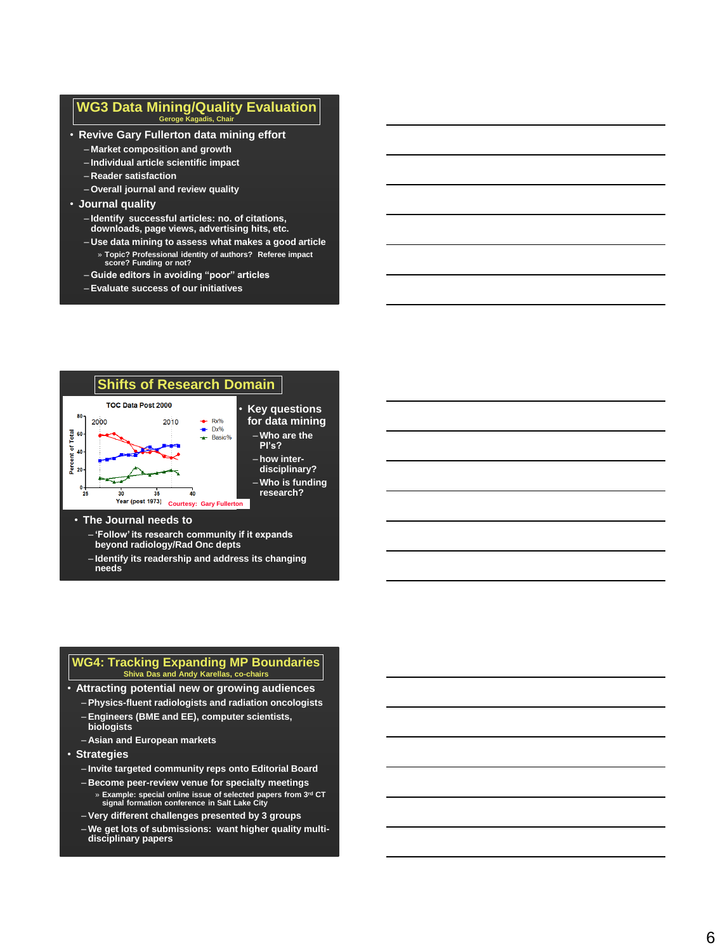### **WG3 Data Mining/Quality Evaluation Geroge Kagadis, Chair**

- **Revive Gary Fullerton data mining effort**
	- **Market composition and growth**
	- **Individual article scientific impact**
	- **Reader satisfaction**
	- **Overall journal and review quality**
- **Journal quality**
	- **Identify successful articles: no. of citations, downloads, page views, advertising hits, etc.**
	- **Use data mining to assess what makes a good article** » **Topic? Professional identity of authors? Referee impact score? Funding or not?**
	- **Guide editors in avoiding "poor" articles**
	- **Evaluate success of our initiatives**



#### • **The Journal needs to**

- **'Follow' its research community if it expands beyond radiology/Rad Onc depts**
- **Identify its readership and address its changing needs**

#### **WG4: Tracking Expanding MP Boundaries Shiva Das and Andy Karellas, co -chairs**

- **Attracting potential new or growing audiences**
	- **Physics-fluent radiologists and radiation oncologists** – **Engineers (BME and EE), computer scientists,**
	- **biologists** – **Asian and European markets**
- **Strategies**
	- **Invite targeted community reps onto Editorial Board**
	- **Become peer-review venue for specialty meetings**
		- » **Example: special online issue of selected papers from 3rd CT signal formation conference in Salt Lake City**
	- **Very different challenges presented by 3 groups**
	- **We get lots of submissions: want higher quality multi disciplinary papers**